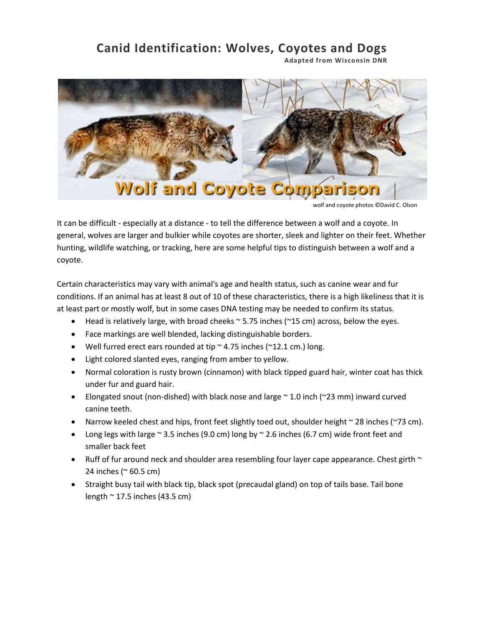# **Canid Identification: Wolves, Coyotes and Dogs**

**Adapted from Wisconsin DNR**



wolf and coyote photos ©David C. Olson

It can be difficult - especially at a distance - to tell the difference between a wolf and a coyote. In general, wolves are larger and bulkier while coyotes are shorter, sleek and lighter on their feet. Whether hunting, wildlife watching, or tracking, here are some helpful tips to distinguish between a wolf and a coyote.

Certain characteristics may vary with animal's age and health status, such as canine wear and fur conditions. If an animal has at least 8 out of 10 of these characteristics, there is a high likeliness that it is at least part or mostly wolf, but in some cases DNA testing may be needed to confirm its status.

- Head is relatively large, with broad cheeks ~ 5.75 inches (~15 cm) across, below the eyes.
- Face markings are well blended, lacking distinguishable borders.
- Well furred erect ears rounded at tip  $\sim$  4.75 inches ( $\sim$ 12.1 cm.) long.
- Light colored slanted eyes, ranging from amber to yellow.
- Normal coloration is rusty brown (cinnamon) with black tipped guard hair, winter coat has thick under fur and guard hair.
- Elongated snout (non-dished) with black nose and large  $\sim$  1.0 inch ( $\sim$ 23 mm) inward curved canine teeth.
- Narrow keeled chest and hips, front feet slightly toed out, shoulder height  $\sim$  28 inches ( $\sim$ 73 cm).
- Long legs with large  $\sim$  3.5 inches (9.0 cm) long by  $\sim$  2.6 inches (6.7 cm) wide front feet and smaller back feet
- Ruff of fur around neck and shoulder area resembling four layer cape appearance. Chest girth  $\sim$ 24 inches (~ 60.5 cm)
- Straight busy tail with black tip, black spot (precaudal gland) on top of tails base. Tail bone length  $\sim$  17.5 inches (43.5 cm)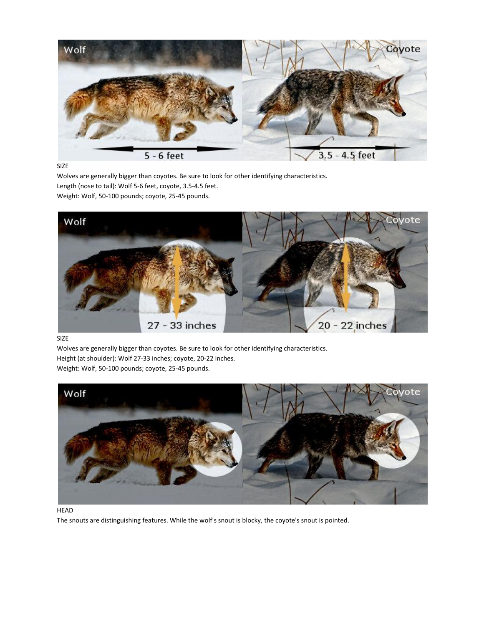

SIZE

Wolves are generally bigger than coyotes. Be sure to look for other identifying characteristics. Length (nose to tail): Wolf 5-6 feet, coyote, 3.5-4.5 feet. Weight: Wolf, 50-100 pounds; coyote, 25-45 pounds.



SIZE

Wolves are generally bigger than coyotes. Be sure to look for other identifying characteristics. Height (at shoulder): Wolf 27-33 inches; coyote, 20-22 inches.

Weight: Wolf, 50-100 pounds; coyote, 25-45 pounds.



HEAD

The snouts are distinguishing features. While the wolf's snout is blocky, the coyote's snout is pointed.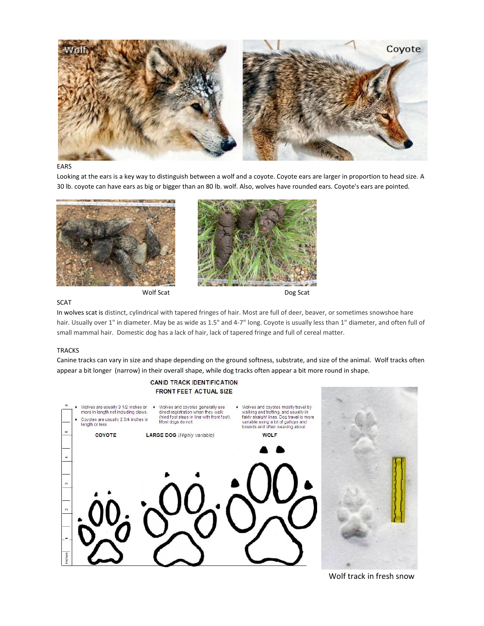

#### EARS

Looking at the ears is a key way to distinguish between a wolf and a coyote. Coyote ears are larger in proportion to head size. A 30 lb. coyote can have ears as big or bigger than an 80 lb. wolf. Also, wolves have rounded ears. Coyote's ears are pointed.





#### **SCAT**

In wolves scat is distinct, cylindrical with tapered fringes of hair. Most are full of deer, beaver, or sometimes snowshoe hare hair. Usually over 1" in diameter. May be as wide as 1.5" and 4-7" long. Coyote is usually less than 1" diameter, and often full of small mammal hair. Domestic dog has a lack of hair, lack of tapered fringe and full of cereal matter.

#### TRACKS

Canine tracks can vary in size and shape depending on the ground softness, substrate, and size of the animal. Wolf tracks often appear a bit longer (narrow) in their overall shape, while dog tracks often appear a bit more round in shape.



Wolf track in fresh snow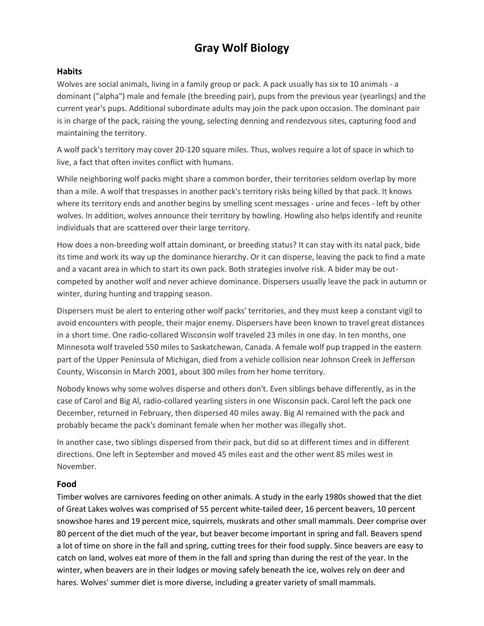## **Gray Wolf Biology**

#### **Habits**

Wolves are social animals, living in a family group or pack. A pack usually has six to 10 animals - a dominant ("alpha") male and female (the breeding pair), pups from the previous year (yearlings) and the current year's pups. Additional subordinate adults may join the pack upon occasion. The dominant pair is in charge of the pack, raising the young, selecting denning and rendezvous sites, capturing food and maintaining the territory.

A wolf pack's territory may cover 20-120 square miles. Thus, wolves require a lot of space in which to live, a fact that often invites conflict with humans.

While neighboring wolf packs might share a common border, their territories seldom overlap by more than a mile. A wolf that trespasses in another pack's territory risks being killed by that pack. It knows where its territory ends and another begins by smelling scent messages - urine and feces - left by other wolves. In addition, wolves announce their territory by howling. Howling also helps identify and reunite individuals that are scattered over their large territory.

How does a non-breeding wolf attain dominant, or breeding status? It can stay with its natal pack, bide its time and work its way up the dominance hierarchy. Or it can disperse, leaving the pack to find a mate and a vacant area in which to start its own pack. Both strategies involve risk. A bider may be outcompeted by another wolf and never achieve dominance. Dispersers usually leave the pack in autumn or winter, during hunting and trapping season.

Dispersers must be alert to entering other wolf packs' territories, and they must keep a constant vigil to avoid encounters with people, their major enemy. Dispersers have been known to travel great distances in a short time. One radio-collared Wisconsin wolf traveled 23 miles in one day. In ten months, one Minnesota wolf traveled 550 miles to Saskatchewan, Canada. A female wolf pup trapped in the eastern part of the Upper Peninsula of Michigan, died from a vehicle collision near Johnson Creek in Jefferson County, Wisconsin in March 2001, about 300 miles from her home territory.

Nobody knows why some wolves disperse and others don't. Even siblings behave differently, as in the case of Carol and Big Al, radio-collared yearling sisters in one Wisconsin pack. Carol left the pack one December, returned in February, then dispersed 40 miles away. Big Al remained with the pack and probably became the pack's dominant female when her mother was illegally shot.

In another case, two siblings dispersed from their pack, but did so at different times and in different directions. One left in September and moved 45 miles east and the other went 85 miles west in November.

## **Food**

Timber wolves are carnivores feeding on other animals. A study in the early 1980s showed that the diet of Great Lakes wolves was comprised of 55 percent white-tailed deer, 16 percent beavers, 10 percent snowshoe hares and 19 percent mice, squirrels, muskrats and other small mammals. Deer comprise over 80 percent of the diet much of the year, but beaver become important in spring and fall. Beavers spend a lot of time on shore in the fall and spring, cutting trees for their food supply. Since beavers are easy to catch on land, wolves eat more of them in the fall and spring than during the rest of the year. In the winter, when beavers are in their lodges or moving safely beneath the ice, wolves rely on deer and hares. Wolves' summer diet is more diverse, including a greater variety of small mammals.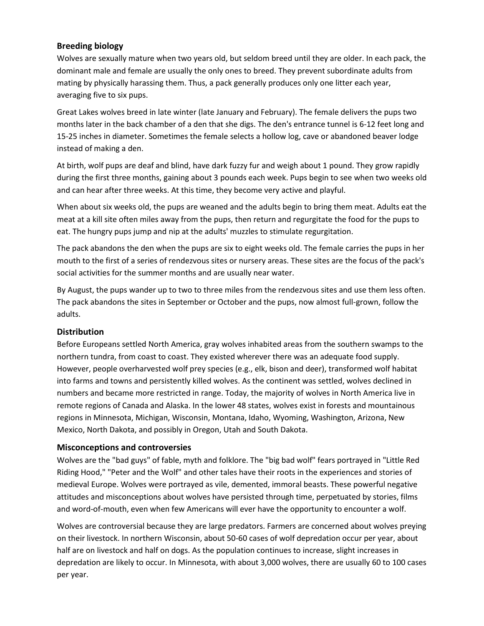## **Breeding biology**

Wolves are sexually mature when two years old, but seldom breed until they are older. In each pack, the dominant male and female are usually the only ones to breed. They prevent subordinate adults from mating by physically harassing them. Thus, a pack generally produces only one litter each year, averaging five to six pups.

Great Lakes wolves breed in late winter (late January and February). The female delivers the pups two months later in the back chamber of a den that she digs. The den's entrance tunnel is 6-12 feet long and 15-25 inches in diameter. Sometimes the female selects a hollow log, cave or abandoned beaver lodge instead of making a den.

At birth, wolf pups are deaf and blind, have dark fuzzy fur and weigh about 1 pound. They grow rapidly during the first three months, gaining about 3 pounds each week. Pups begin to see when two weeks old and can hear after three weeks. At this time, they become very active and playful.

When about six weeks old, the pups are weaned and the adults begin to bring them meat. Adults eat the meat at a kill site often miles away from the pups, then return and regurgitate the food for the pups to eat. The hungry pups jump and nip at the adults' muzzles to stimulate regurgitation.

The pack abandons the den when the pups are six to eight weeks old. The female carries the pups in her mouth to the first of a series of rendezvous sites or nursery areas. These sites are the focus of the pack's social activities for the summer months and are usually near water.

By August, the pups wander up to two to three miles from the rendezvous sites and use them less often. The pack abandons the sites in September or October and the pups, now almost full-grown, follow the adults.

## **Distribution**

Before Europeans settled North America, gray wolves inhabited areas from the southern swamps to the northern tundra, from coast to coast. They existed wherever there was an adequate food supply. However, people overharvested wolf prey species (e.g., elk, bison and deer), transformed wolf habitat into farms and towns and persistently killed wolves. As the continent was settled, wolves declined in numbers and became more restricted in range. Today, the majority of wolves in North America live in remote regions of Canada and Alaska. In the lower 48 states, wolves exist in forests and mountainous regions in Minnesota, Michigan, Wisconsin, Montana, Idaho, Wyoming, Washington, Arizona, New Mexico, North Dakota, and possibly in Oregon, Utah and South Dakota.

## **Misconceptions and controversies**

Wolves are the "bad guys" of fable, myth and folklore. The "big bad wolf" fears portrayed in "Little Red Riding Hood," "Peter and the Wolf" and other tales have their roots in the experiences and stories of medieval Europe. Wolves were portrayed as vile, demented, immoral beasts. These powerful negative attitudes and misconceptions about wolves have persisted through time, perpetuated by stories, films and word-of-mouth, even when few Americans will ever have the opportunity to encounter a wolf.

Wolves are controversial because they are large predators. Farmers are concerned about wolves preying on their livestock. In northern Wisconsin, about 50-60 cases of wolf depredation occur per year, about half are on livestock and half on dogs. As the population continues to increase, slight increases in depredation are likely to occur. In Minnesota, with about 3,000 wolves, there are usually 60 to 100 cases per year.